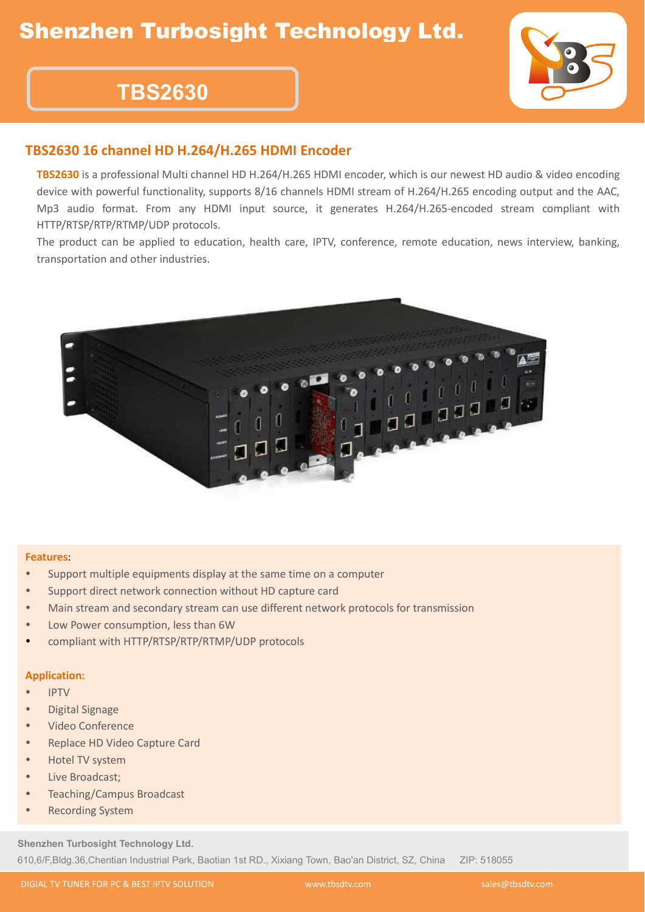## Shenzhen Turbosight Technology Ltd.



# **TBS2630**

### **TBS2630 16 channel HD H.264/H.265 HDMI Encoder**

**TBS2630** is a professional Multi channel HD H.264/H.265 HDMI encoder, which is our newest HD audio & video encoding device with powerful functionality, supports 8/16 channels HDMI stream of H.264/H.265 encoding output and the AAC, Mp3 audio format. From any HDMI input source, it generates H.264/H.265-encoded stream compliant with HTTP/RTSP/RTP/RTMP/UDP protocols.

The product can be applied to education, health care, IPTV, conference, remote education, news interview, banking, transportation and other industries.



#### **Features**:

- Support multiple equipments display at the same time on a computer
- Support direct network connection without HD capture card
- Main stream and secondary stream can use different network protocols for transmission
- Low Power consumption, less than 6W
- compliant with HTTP/RTSP/RTP/RTMP/UDP protocols

#### **Application:**

- IPTV
- Digital Signage
- Video Conference
- Replace HD Video Capture Card
- Hotel TV system
- Live Broadcast;
- Teaching/Campus Broadcast
- **•** Recording System

**Shenzhen Turbosight Technology Ltd.** 610,6/F,Bldg.36,Chentian Industrial Park, Baotian 1st RD., Xixiang Town, Bao'an District, SZ, China ZIP: 518055

DIGIAL TV TUNER FOR PC & BEST IPTV SOLUTION www.tbsdtv.com sales@tbsdtv.com